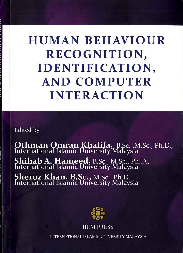# **HUMAN BEHAVIOUR** RECOGNITION, **IDENTIFICATION, AND COMPUTER INTERACTION**

**Edited** by

**Othman Omran Khalifa**, B.Sc., M.Sc., Ph.D., International Islamic University Malaysia Shihab A. Hameed, B.Sc., M.Sc., Ph.D.,<br>International Islamic University Malaysia **Sheroz Khan, B.Sc., M.Sc., Ph.D.,<br>International Islamic University Malaysia** 



**IIUM PRESS** 

**INTERNATIONAL ISLAMIC UNIVERSITY MALAYSIA**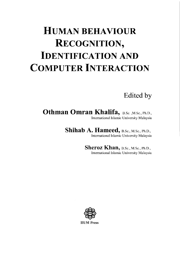## **HUMAN BEHAVIOUR RECOGNITION, IDENTIFICATION AND COMPUTER INTERACTION**

Edited by

Othman Omran Khalifa, B.Sc., M.Sc., Ph.D., International Islamic University Malaysia

Shihab A. Hameed, B.Sc., M.Sc., Ph.D.,

International Islamic University Malaysia

Sheroz Khan, B.Sc., M.Sc., Ph.D., International Islamic University Malaysia

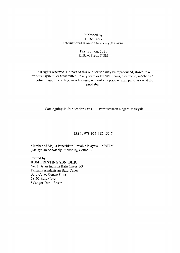Published by: **IIUM** Press International Islamic University Malaysia

### First Edition, 2011 CIIUM Press, IIUM

All rights reserved. No part of this publication may be reproduced, stored in a retrieval system, or transmitted, in any form or by any means, electronic, mechanical, photocopying, recording, or otherwise, without any prior written permission of the publisher.

Cataloguing-in-Publication Data

Perpustakaan Negara Malaysia

ISBN: 978-967-418-156-7

Member of Majlis Penerbitan Ilmiah Malaysia - MAPIM (Malaysian Scholarly Publishing Council)

Printed by: **HUM PRINTING SDN. BHD.** No. 1, Jalan Industri Batu Caves 1/3 Taman Perindustrian Batu Caves **Batu Caves Centre Point** 68100 Batu Caves Selangor Darul Ehsan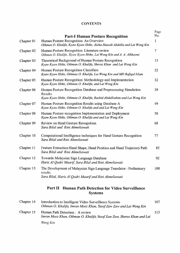## **CONTENTS**

|            | <b>Part-I Human Posture Recognition</b>                                                                                                               | Page<br>No. |
|------------|-------------------------------------------------------------------------------------------------------------------------------------------------------|-------------|
| Chapter 01 | Human Posture Recognition: An Overview<br>Othman O. Khalifa, Kyaw Kyaw Htike, Aisha-Hassab Abdalla and Lai Weng Kin                                   | 1           |
| Chapter 02 | Human Posture Recognition: Literature review<br>Othman O. Khalifa, Kyaw Kyaw Htike, Lai Weng Kin and A. A. Alkhazmi                                   | 7           |
| Chapter 03 | Theoretical Background of Human Posture Recognition<br>Kyaw Kyaw Htike, Othman O. Khalifa, Sheroz Khan and Lai Weng Kin                               | 15          |
| Chapter 04 | Human Posture Recognition Classifiers<br>Kyaw Kyaw Htike, Othman O. Khalifa, Lai Weng Kin and MD Rafiqul Islam                                        | 22          |
| Chapter 05 | Human Posture Recognition: Methodology and Implementation<br>Kyaw Kyaw Htike, Othman O. Khalifa, and Lai Weng Kin                                     | 32          |
| Chapter 06 | Human Posture Recognition Database and Preprocessing Simulation<br>Results<br>Kyaw Kyaw Htike, Othman O. Khalifa, Rashid Abdallrahim and Lai Weng Kin | 39          |
| Chapter 07 | Human Posture Recognition Results using Database A<br>Kyaw Kyaw Htike, Othman O. Khalifa and and Lai Weng Kin                                         | 49          |
| Chapter 08 | Human Posture recognition Implementation and Deployment<br>Kyaw Kyaw Htike, Othman O. Khalifa and and Lai Weng Kin                                    | 58          |
| Chapter 09 | Review on Hand Gesture Recognition<br>Sara Bilal and Rini Akmeliawati                                                                                 | 68          |
| Chapter 10 | Computational Intelligence techniques for Hand Gesture Recognition<br>Sara Bilal and Rini Akmeliawati                                                 | 77          |
| Chapter 11 | Feature Extraction: Hand Shape, Hand Position and Hand Trajectory Path<br>Sara Bilal and Rini Akmeliawati                                             | 85          |
| Chapter 12 | Towards Malaysian Sign Language Database<br>Haris Al Qodri Maarif, Sara Bilal and Rini Akmeliawati                                                    | 92          |
| Chapter 13 | The Development of Malaysian Sign Language Translator: Preliminary<br>results<br>Sara Bilal, Haris Al Qodri Maarif and Rini Akmeliawati               | 100         |
|            | Part II<br><b>Human Path Detection for Video Surveillance</b>                                                                                         |             |

**Systems** 

| Chapter 14 | Introduction to Intelligent Video Surveillance Systems<br>Othman O. Khalifa, Imran Moez Khan, Yusof Zaw Zaw and Lai Weng Kin | 107 |
|------------|------------------------------------------------------------------------------------------------------------------------------|-----|
| Chapter 15 | Human Path Detection : A review<br>Imran Moez Khan, Othman O. Khalifa Yusof Zaw Zaw, Sheroz Khan and Lai                     | 113 |
|            | Weng Kin                                                                                                                     |     |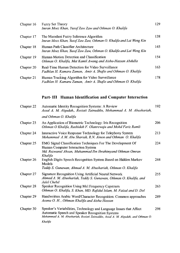| Chapter 16 | <b>Fuzzy Set Theory</b><br>Imran Moez Khan, Yusof Zaw Zaw and Othman O. Khalifa                                   | 129 |
|------------|-------------------------------------------------------------------------------------------------------------------|-----|
| Chapter 17 | The Mamdani Fuzzy Inference Algorithm<br>Imran Moez Khan, Yusof Zaw Zaw, Othman O. Khalifa and Lai Weng Kin       | 138 |
| Chapter 18 | Human Path Classifier Architecture<br>Imran Moez Khan, Yusof Zaw Zaw, Othman O. Khalifa and Lai Weng Kin          | 145 |
| Chapter 19 | Human Motion Detection and Classification<br>Othman O. Khalifa, Mat Kamil Awang and Aisha-Hassan Abdulla          | 154 |
| Chapter 20 | Real-Time Human Detection for Video Surveillance<br>Fadhlan H. Kamaru Zaman, Amir A. Shafie and Othman O. Khalifa | 163 |
| Chapter 21 | Human Tracking Algorithm for Video Surveillance<br>Fadhlan H. Kamaru Zaman, Amir A. Shafie and Othman O. Khalifa  | 178 |

## Part-III Human Identification and Computer Interaction

| Chapter 22 | <b>Automatic Identity Recognition Systems: A Review</b><br>Assal A. M. Alqudah,, Roziati Zainuddin, Mohammad A. M. Abushariah,                                                                              | 192 |
|------------|-------------------------------------------------------------------------------------------------------------------------------------------------------------------------------------------------------------|-----|
|            | and Othman O. Khalifa                                                                                                                                                                                       |     |
| Chapter 23 | An Application of Biometric Technology: Iris Recognition<br>Othman O Khalifa, Rashidah F. Olanrewaju and Mohd Fariz Ramli                                                                                   | 206 |
| Chapter 24 | Interactive Voice Response Technology for Telephony System<br>Mohammad A.M. Abu Shariah, R.N. Ainon and Othman O. Khalifa                                                                                   | 213 |
| Chapter 25 | EMG Signal Classification Techniques For The Development Of<br>Human Computer Interaction System<br>Md. Rezwanul Ahsan, Muhammad Ibn Ibrahimyand Othman Omran<br>Khalifa                                    | 224 |
| Chapter 26 | English Digits Speech Recognition System Based on Hidden Markov<br>Models<br>Teddy S. Gunawan, Ahmad A. M. Abushariah, Othman O. Khalifa                                                                    | 244 |
| Chapter 27 | <b>Signature Recognition Using Artificial Neural Network</b><br>Ahmad A. M. Abushariah, Teddy S. Gunawan, Othman O. Khalifa, and<br>Jalel Chebil                                                            | 255 |
| Chapter 28 | Speaker Recognition Using Mel Frequency Cepstrum<br>Othman O. Khalifa, S. Khan, MD. Rafidul Islam, M. Faizal and D. Dol                                                                                     | 263 |
| Chapter 29 | Handwritten Arabic Word/Character Recognition: Common approaches<br>Assma O. H., Othman Khalifa and Aisha Hassan                                                                                            | 289 |
| Chapter 30 | Speaker's Variabilities, Technology and Language Issues that Affect<br>Automatic Speech and Speaker Recognition Systems<br>Mohammad A. M. Abushariah, Roziati Zaimuddin, Assal A. M. Alqudah, and Othman O. | 298 |
|            | Khalifa                                                                                                                                                                                                     |     |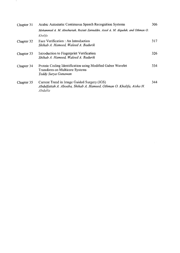| Chapter 31 | Arabic Automatic Continuous Speech Recognition Systems                                                                         | 306 |
|------------|--------------------------------------------------------------------------------------------------------------------------------|-----|
|            | Mohammad A. M. Abushariah, Roziati Zainuddin, Assal A. M. Alqudah, and Othman O.                                               |     |
|            | Khalifa                                                                                                                        |     |
| Chapter 32 | Face Verification : An Introduction<br>Shihab A. Hameed, Waleed A. Badurik                                                     | 317 |
| Chapter 33 | Introduction to Fingerprint Verification<br>Shihab A. Hameed, Waleed A. Badurik                                                | 326 |
| Chapter 34 | Protein Coding Identification using Modified Gabor Wavelet<br><b>Transform on Multicore Systems</b><br>Teddy Surya Gunawan     | 334 |
| Chapter 35 | Current Trend in Image Guided Surgery (IGS)<br>Abdulfattah A. Aboaba, Shihab A. Hameed, Othman O. Khalifa, Aisha H.<br>Abdalla | 344 |

 $\overline{\phantom{a}}$